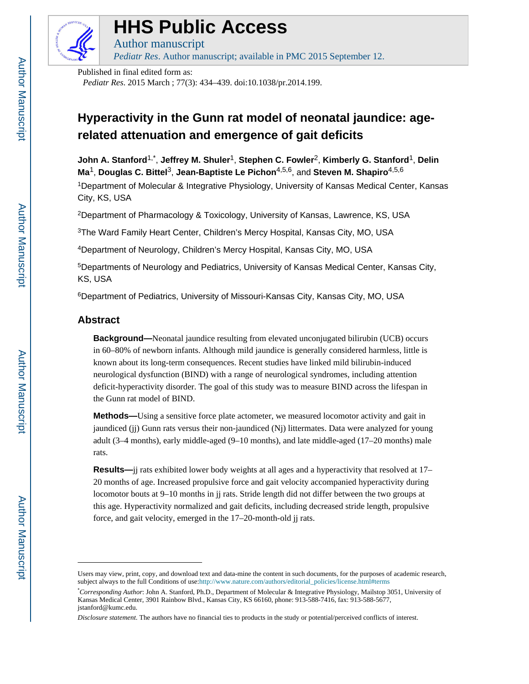

# **HHS Public Access**

Author manuscript *Pediatr Res*. Author manuscript; available in PMC 2015 September 12.

Published in final edited form as:

*Pediatr Res*. 2015 March ; 77(3): 434–439. doi:10.1038/pr.2014.199.

# **Hyperactivity in the Gunn rat model of neonatal jaundice: agerelated attenuation and emergence of gait deficits**

**John A. Stanford**1,\* , **Jeffrey M. Shuler**1, **Stephen C. Fowler**2, **Kimberly G. Stanford**1, **Delin Ma**1, **Douglas C. Bittel**3, **Jean-Baptiste Le Pichon**4,5,6, and **Steven M. Shapiro**4,5,6

<sup>1</sup>Department of Molecular & Integrative Physiology, University of Kansas Medical Center, Kansas City, KS, USA

<sup>2</sup>Department of Pharmacology & Toxicology, University of Kansas, Lawrence, KS, USA

<sup>3</sup>The Ward Family Heart Center, Children's Mercy Hospital, Kansas City, MO, USA

<sup>4</sup>Department of Neurology, Children's Mercy Hospital, Kansas City, MO, USA

<sup>5</sup>Departments of Neurology and Pediatrics, University of Kansas Medical Center, Kansas City, KS, USA

<sup>6</sup>Department of Pediatrics, University of Missouri-Kansas City, Kansas City, MO, USA

## **Abstract**

**Background—**Neonatal jaundice resulting from elevated unconjugated bilirubin (UCB) occurs in 60–80% of newborn infants. Although mild jaundice is generally considered harmless, little is known about its long-term consequences. Recent studies have linked mild bilirubin-induced neurological dysfunction (BIND) with a range of neurological syndromes, including attention deficit-hyperactivity disorder. The goal of this study was to measure BIND across the lifespan in the Gunn rat model of BIND.

**Methods—**Using a sensitive force plate actometer, we measured locomotor activity and gait in jaundiced (jj) Gunn rats versus their non-jaundiced (Nj) littermates. Data were analyzed for young adult (3–4 months), early middle-aged (9–10 months), and late middle-aged (17–20 months) male rats.

**Results—**jj rats exhibited lower body weights at all ages and a hyperactivity that resolved at 17– 20 months of age. Increased propulsive force and gait velocity accompanied hyperactivity during locomotor bouts at 9–10 months in jj rats. Stride length did not differ between the two groups at this age. Hyperactivity normalized and gait deficits, including decreased stride length, propulsive force, and gait velocity, emerged in the 17–20-month-old jj rats.

Users may view, print, copy, and download text and data-mine the content in such documents, for the purposes of academic research, subject always to the full Conditions of use:[http://www.nature.com/authors/editorial\\_policies/license.html#terms](http://www.nature.com/authors/editorial_policies/license.html#terms)

<sup>\*</sup>*Corresponding Author*: John A. Stanford, Ph.D., Department of Molecular & Integrative Physiology, Mailstop 3051, University of Kansas Medical Center, 3901 Rainbow Blvd., Kansas City, KS 66160, phone: 913-588-7416, fax: 913-588-5677, jstanford@kumc.edu.

*Disclosure statement*. The authors have no financial ties to products in the study or potential/perceived conflicts of interest.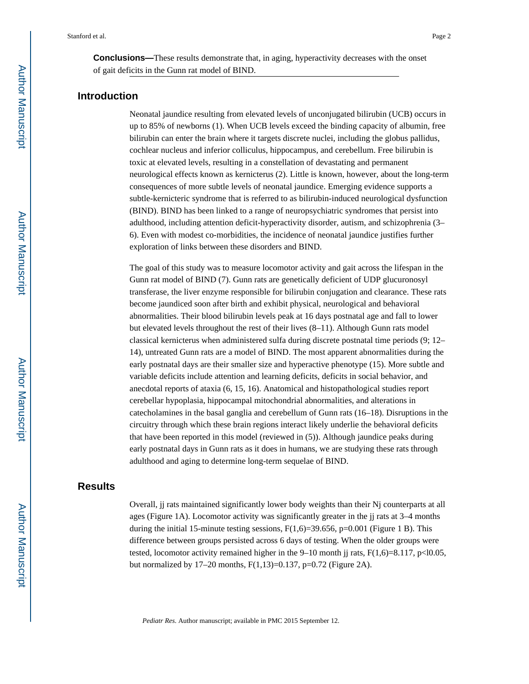**Conclusions—**These results demonstrate that, in aging, hyperactivity decreases with the onset of gait deficits in the Gunn rat model of BIND.

#### **Introduction**

Neonatal jaundice resulting from elevated levels of unconjugated bilirubin (UCB) occurs in up to 85% of newborns (1). When UCB levels exceed the binding capacity of albumin, free bilirubin can enter the brain where it targets discrete nuclei, including the globus pallidus, cochlear nucleus and inferior colliculus, hippocampus, and cerebellum. Free bilirubin is toxic at elevated levels, resulting in a constellation of devastating and permanent neurological effects known as kernicterus (2). Little is known, however, about the long-term consequences of more subtle levels of neonatal jaundice. Emerging evidence supports a subtle-kernicteric syndrome that is referred to as bilirubin-induced neurological dysfunction (BIND). BIND has been linked to a range of neuropsychiatric syndromes that persist into adulthood, including attention deficit-hyperactivity disorder, autism, and schizophrenia (3– 6). Even with modest co-morbidities, the incidence of neonatal jaundice justifies further exploration of links between these disorders and BIND.

The goal of this study was to measure locomotor activity and gait across the lifespan in the Gunn rat model of BIND (7). Gunn rats are genetically deficient of UDP glucuronosyl transferase, the liver enzyme responsible for bilirubin conjugation and clearance. These rats become jaundiced soon after birth and exhibit physical, neurological and behavioral abnormalities. Their blood bilirubin levels peak at 16 days postnatal age and fall to lower but elevated levels throughout the rest of their lives (8–11). Although Gunn rats model classical kernicterus when administered sulfa during discrete postnatal time periods (9; 12– 14), untreated Gunn rats are a model of BIND. The most apparent abnormalities during the early postnatal days are their smaller size and hyperactive phenotype (15). More subtle and variable deficits include attention and learning deficits, deficits in social behavior, and anecdotal reports of ataxia (6, 15, 16). Anatomical and histopathological studies report cerebellar hypoplasia, hippocampal mitochondrial abnormalities, and alterations in catecholamines in the basal ganglia and cerebellum of Gunn rats (16–18). Disruptions in the circuitry through which these brain regions interact likely underlie the behavioral deficits that have been reported in this model (reviewed in (5)). Although jaundice peaks during early postnatal days in Gunn rats as it does in humans, we are studying these rats through adulthood and aging to determine long-term sequelae of BIND.

#### **Results**

Overall, jj rats maintained significantly lower body weights than their Nj counterparts at all ages (Figure 1A). Locomotor activity was significantly greater in the jj rats at 3–4 months during the initial 15-minute testing sessions,  $F(1,6)=39.656$ ,  $p=0.001$  (Figure 1 B). This difference between groups persisted across 6 days of testing. When the older groups were tested, locomotor activity remained higher in the  $9-10$  month ji rats,  $F(1,6)=8.117$ , p<l0.05, but normalized by 17–20 months,  $F(1,13)=0.137$ , p=0.72 (Figure 2A).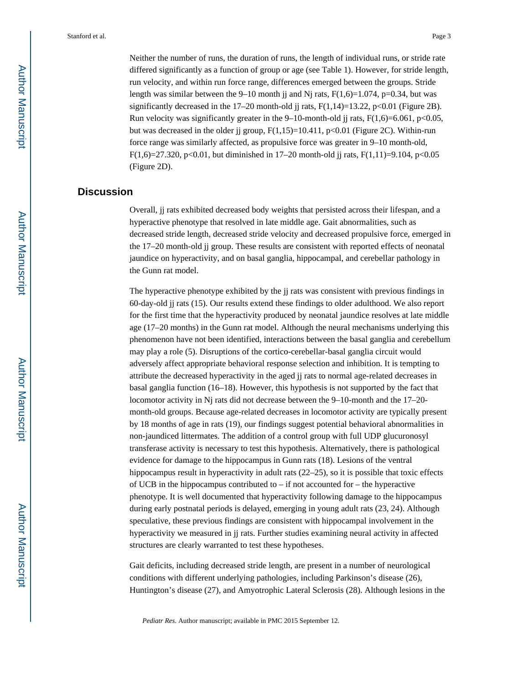Neither the number of runs, the duration of runs, the length of individual runs, or stride rate differed significantly as a function of group or age (see Table 1). However, for stride length, run velocity, and within run force range, differences emerged between the groups. Stride length was similar between the 9–10 month jj and Nj rats,  $F(1,6)=1.074$ ,  $p=0.34$ , but was significantly decreased in the 17–20 month-old jj rats,  $F(1,14)=13.22$ ,  $p<0.01$  (Figure 2B). Run velocity was significantly greater in the 9–10-month-old jj rats,  $F(1,6)=6.061$ ,  $p<0.05$ , but was decreased in the older ij group,  $F(1,15)=10.411$ ,  $p<0.01$  (Figure 2C). Within-run force range was similarly affected, as propulsive force was greater in 9–10 month-old, F(1,6)=27.320, p<0.01, but diminished in 17–20 month-old jj rats, F(1,11)=9.104, p<0.05 (Figure 2D).

### **Discussion**

Overall, jj rats exhibited decreased body weights that persisted across their lifespan, and a hyperactive phenotype that resolved in late middle age. Gait abnormalities, such as decreased stride length, decreased stride velocity and decreased propulsive force, emerged in the 17–20 month-old jj group. These results are consistent with reported effects of neonatal jaundice on hyperactivity, and on basal ganglia, hippocampal, and cerebellar pathology in the Gunn rat model.

The hyperactive phenotype exhibited by the jj rats was consistent with previous findings in 60-day-old jj rats (15). Our results extend these findings to older adulthood. We also report for the first time that the hyperactivity produced by neonatal jaundice resolves at late middle age (17–20 months) in the Gunn rat model. Although the neural mechanisms underlying this phenomenon have not been identified, interactions between the basal ganglia and cerebellum may play a role (5). Disruptions of the cortico-cerebellar-basal ganglia circuit would adversely affect appropriate behavioral response selection and inhibition. It is tempting to attribute the decreased hyperactivity in the aged jj rats to normal age-related decreases in basal ganglia function (16–18). However, this hypothesis is not supported by the fact that locomotor activity in Nj rats did not decrease between the 9–10-month and the 17–20 month-old groups. Because age-related decreases in locomotor activity are typically present by 18 months of age in rats (19), our findings suggest potential behavioral abnormalities in non-jaundiced littermates. The addition of a control group with full UDP glucuronosyl transferase activity is necessary to test this hypothesis. Alternatively, there is pathological evidence for damage to the hippocampus in Gunn rats (18). Lesions of the ventral hippocampus result in hyperactivity in adult rats (22–25), so it is possible that toxic effects of UCB in the hippocampus contributed to – if not accounted for – the hyperactive phenotype. It is well documented that hyperactivity following damage to the hippocampus during early postnatal periods is delayed, emerging in young adult rats (23, 24). Although speculative, these previous findings are consistent with hippocampal involvement in the hyperactivity we measured in jj rats. Further studies examining neural activity in affected structures are clearly warranted to test these hypotheses.

Gait deficits, including decreased stride length, are present in a number of neurological conditions with different underlying pathologies, including Parkinson's disease (26), Huntington's disease (27), and Amyotrophic Lateral Sclerosis (28). Although lesions in the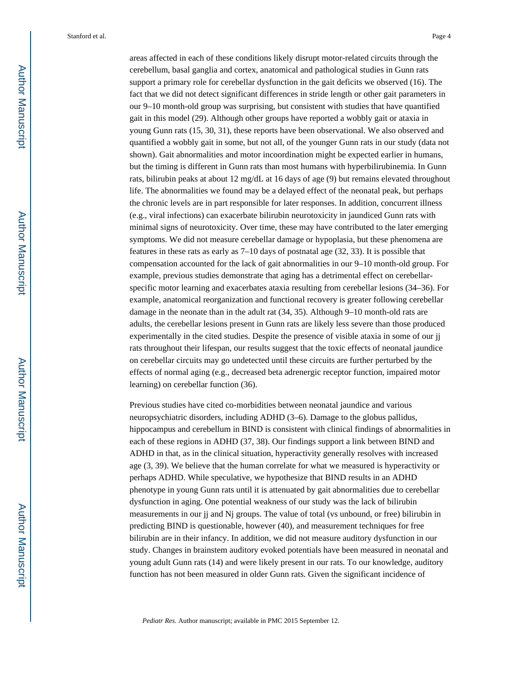areas affected in each of these conditions likely disrupt motor-related circuits through the cerebellum, basal ganglia and cortex, anatomical and pathological studies in Gunn rats support a primary role for cerebellar dysfunction in the gait deficits we observed (16). The fact that we did not detect significant differences in stride length or other gait parameters in our 9–10 month-old group was surprising, but consistent with studies that have quantified gait in this model (29). Although other groups have reported a wobbly gait or ataxia in young Gunn rats (15, 30, 31), these reports have been observational. We also observed and quantified a wobbly gait in some, but not all, of the younger Gunn rats in our study (data not shown). Gait abnormalities and motor incoordination might be expected earlier in humans, but the timing is different in Gunn rats than most humans with hyperbilirubinemia. In Gunn rats, bilirubin peaks at about 12 mg/dL at 16 days of age (9) but remains elevated throughout life. The abnormalities we found may be a delayed effect of the neonatal peak, but perhaps the chronic levels are in part responsible for later responses. In addition, concurrent illness (e.g., viral infections) can exacerbate bilirubin neurotoxicity in jaundiced Gunn rats with minimal signs of neurotoxicity. Over time, these may have contributed to the later emerging symptoms. We did not measure cerebellar damage or hypoplasia, but these phenomena are features in these rats as early as 7–10 days of postnatal age (32, 33). It is possible that compensation accounted for the lack of gait abnormalities in our 9–10 month-old group. For example, previous studies demonstrate that aging has a detrimental effect on cerebellarspecific motor learning and exacerbates ataxia resulting from cerebellar lesions (34–36). For example, anatomical reorganization and functional recovery is greater following cerebellar damage in the neonate than in the adult rat (34, 35). Although 9–10 month-old rats are adults, the cerebellar lesions present in Gunn rats are likely less severe than those produced experimentally in the cited studies. Despite the presence of visible ataxia in some of our jj rats throughout their lifespan, our results suggest that the toxic effects of neonatal jaundice on cerebellar circuits may go undetected until these circuits are further perturbed by the effects of normal aging (e.g., decreased beta adrenergic receptor function, impaired motor learning) on cerebellar function (36).

Previous studies have cited co-morbidities between neonatal jaundice and various neuropsychiatric disorders, including ADHD (3–6). Damage to the globus pallidus, hippocampus and cerebellum in BIND is consistent with clinical findings of abnormalities in each of these regions in ADHD (37, 38). Our findings support a link between BIND and ADHD in that, as in the clinical situation, hyperactivity generally resolves with increased age (3, 39). We believe that the human correlate for what we measured is hyperactivity or perhaps ADHD. While speculative, we hypothesize that BIND results in an ADHD phenotype in young Gunn rats until it is attenuated by gait abnormalities due to cerebellar dysfunction in aging. One potential weakness of our study was the lack of bilirubin measurements in our jj and Nj groups. The value of total (vs unbound, or free) bilirubin in predicting BIND is questionable, however (40), and measurement techniques for free bilirubin are in their infancy. In addition, we did not measure auditory dysfunction in our study. Changes in brainstem auditory evoked potentials have been measured in neonatal and young adult Gunn rats (14) and were likely present in our rats. To our knowledge, auditory function has not been measured in older Gunn rats. Given the significant incidence of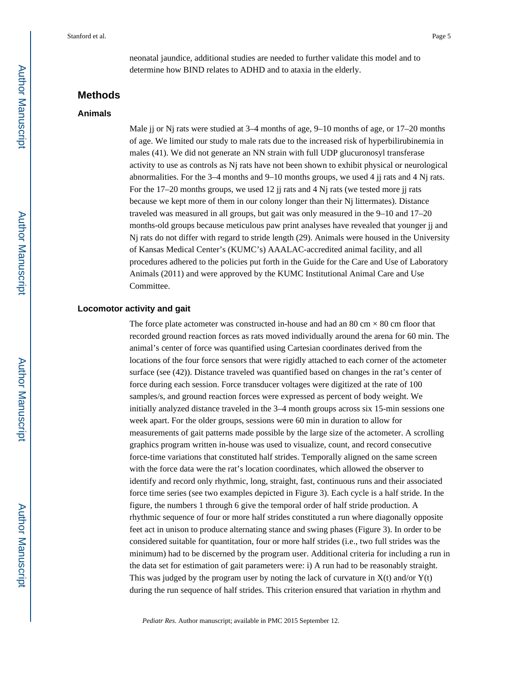neonatal jaundice, additional studies are needed to further validate this model and to determine how BIND relates to ADHD and to ataxia in the elderly.

#### **Methods**

#### **Animals**

Male jj or Nj rats were studied at 3–4 months of age, 9–10 months of age, or 17–20 months of age. We limited our study to male rats due to the increased risk of hyperbilirubinemia in males (41). We did not generate an NN strain with full UDP glucuronosyl transferase activity to use as controls as Nj rats have not been shown to exhibit physical or neurological abnormalities. For the  $3-4$  months and  $9-10$  months groups, we used 4 jj rats and 4 Nj rats. For the 17–20 months groups, we used 12 jj rats and 4 Nj rats (we tested more jj rats because we kept more of them in our colony longer than their Nj littermates). Distance traveled was measured in all groups, but gait was only measured in the 9–10 and 17–20 months-old groups because meticulous paw print analyses have revealed that younger jj and Nj rats do not differ with regard to stride length (29). Animals were housed in the University of Kansas Medical Center's (KUMC's) AAALAC-accredited animal facility, and all procedures adhered to the policies put forth in the Guide for the Care and Use of Laboratory Animals (2011) and were approved by the KUMC Institutional Animal Care and Use Committee.

#### **Locomotor activity and gait**

The force plate actometer was constructed in-house and had an 80 cm  $\times$  80 cm floor that recorded ground reaction forces as rats moved individually around the arena for 60 min. The animal's center of force was quantified using Cartesian coordinates derived from the locations of the four force sensors that were rigidly attached to each corner of the actometer surface (see (42)). Distance traveled was quantified based on changes in the rat's center of force during each session. Force transducer voltages were digitized at the rate of 100 samples/s, and ground reaction forces were expressed as percent of body weight. We initially analyzed distance traveled in the 3–4 month groups across six 15-min sessions one week apart. For the older groups, sessions were 60 min in duration to allow for measurements of gait patterns made possible by the large size of the actometer. A scrolling graphics program written in-house was used to visualize, count, and record consecutive force-time variations that constituted half strides. Temporally aligned on the same screen with the force data were the rat's location coordinates, which allowed the observer to identify and record only rhythmic, long, straight, fast, continuous runs and their associated force time series (see two examples depicted in Figure 3). Each cycle is a half stride. In the figure, the numbers 1 through 6 give the temporal order of half stride production. A rhythmic sequence of four or more half strides constituted a run where diagonally opposite feet act in unison to produce alternating stance and swing phases (Figure 3). In order to be considered suitable for quantitation, four or more half strides (i.e., two full strides was the minimum) had to be discerned by the program user. Additional criteria for including a run in the data set for estimation of gait parameters were: i) A run had to be reasonably straight. This was judged by the program user by noting the lack of curvature in  $X(t)$  and/or  $Y(t)$ during the run sequence of half strides. This criterion ensured that variation in rhythm and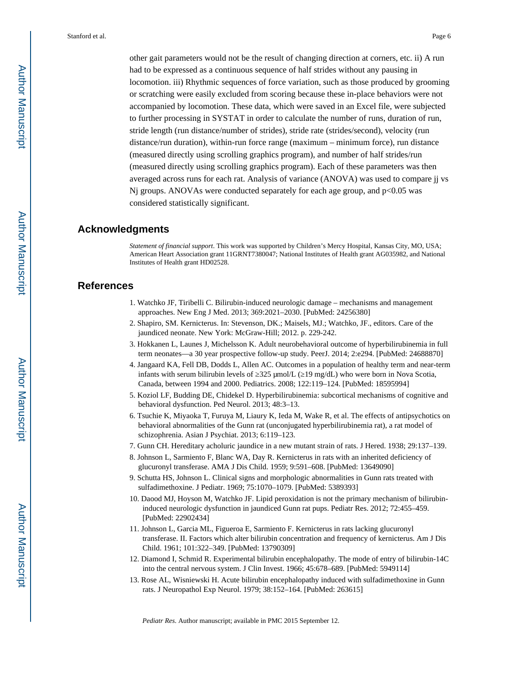other gait parameters would not be the result of changing direction at corners, etc. ii) A run had to be expressed as a continuous sequence of half strides without any pausing in locomotion. iii) Rhythmic sequences of force variation, such as those produced by grooming or scratching were easily excluded from scoring because these in-place behaviors were not accompanied by locomotion. These data, which were saved in an Excel file, were subjected to further processing in SYSTAT in order to calculate the number of runs, duration of run, stride length (run distance/number of strides), stride rate (strides/second), velocity (run distance/run duration), within-run force range (maximum – minimum force), run distance (measured directly using scrolling graphics program), and number of half strides/run (measured directly using scrolling graphics program). Each of these parameters was then averaged across runs for each rat. Analysis of variance (ANOVA) was used to compare jj vs  $Nj$  groups. ANOVAs were conducted separately for each age group, and  $p<0.05$  was considered statistically significant.

#### **Acknowledgments**

*Statement of financial support*. This work was supported by Children's Mercy Hospital, Kansas City, MO, USA; American Heart Association grant 11GRNT7380047; National Institutes of Health grant AG035982, and National Institutes of Health grant HD02528.

#### **References**

- 1. Watchko JF, Tiribelli C. Bilirubin-induced neurologic damage mechanisms and management approaches. New Eng J Med. 2013; 369:2021–2030. [PubMed: 24256380]
- 2. Shapiro, SM. Kernicterus. In: Stevenson, DK.; Maisels, MJ.; Watchko, JF., editors. Care of the jaundiced neonate. New York: McGraw-Hill; 2012. p. 229-242.
- 3. Hokkanen L, Launes J, Michelsson K. Adult neurobehavioral outcome of hyperbilirubinemia in full term neonates—a 30 year prospective follow-up study. PeerJ. 2014; 2:e294. [PubMed: 24688870]
- 4. Jangaard KA, Fell DB, Dodds L, Allen AC. Outcomes in a population of healthy term and near-term infants with serum bilirubin levels of 325 µmol/L (19 mg/dL) who were born in Nova Scotia, Canada, between 1994 and 2000. Pediatrics. 2008; 122:119–124. [PubMed: 18595994]
- 5. Koziol LF, Budding DE, Chidekel D. Hyperbilirubinemia: subcortical mechanisms of cognitive and behavioral dysfunction. Ped Neurol. 2013; 48:3–13.
- 6. Tsuchie K, Miyaoka T, Furuya M, Liaury K, Ieda M, Wake R, et al. The effects of antipsychotics on behavioral abnormalities of the Gunn rat (unconjugated hyperbilirubinemia rat), a rat model of schizophrenia. Asian J Psychiat. 2013; 6:119–123.
- 7. Gunn CH. Hereditary acholuric jaundice in a new mutant strain of rats. J Hered. 1938; 29:137–139.
- 8. Johnson L, Sarmiento F, Blanc WA, Day R. Kernicterus in rats with an inherited deficiency of glucuronyl transferase. AMA J Dis Child. 1959; 9:591–608. [PubMed: 13649090]
- 9. Schutta HS, Johnson L. Clinical signs and morphologic abnormalities in Gunn rats treated with sulfadimethoxine. J Pediatr. 1969; 75:1070–1079. [PubMed: 5389393]
- 10. Daood MJ, Hoyson M, Watchko JF. Lipid peroxidation is not the primary mechanism of bilirubininduced neurologic dysfunction in jaundiced Gunn rat pups. Pediatr Res. 2012; 72:455–459. [PubMed: 22902434]
- 11. Johnson L, Garcia ML, Figueroa E, Sarmiento F. Kernicterus in rats lacking glucuronyl transferase. II. Factors which alter bilirubin concentration and frequency of kernicterus. Am J Dis Child. 1961; 101:322–349. [PubMed: 13790309]
- 12. Diamond I, Schmid R. Experimental bilirubin encephalopathy. The mode of entry of bilirubin-14C into the central nervous system. J Clin Invest. 1966; 45:678–689. [PubMed: 5949114]
- 13. Rose AL, Wisniewski H. Acute bilirubin encephalopathy induced with sulfadimethoxine in Gunn rats. J Neuropathol Exp Neurol. 1979; 38:152–164. [PubMed: 263615]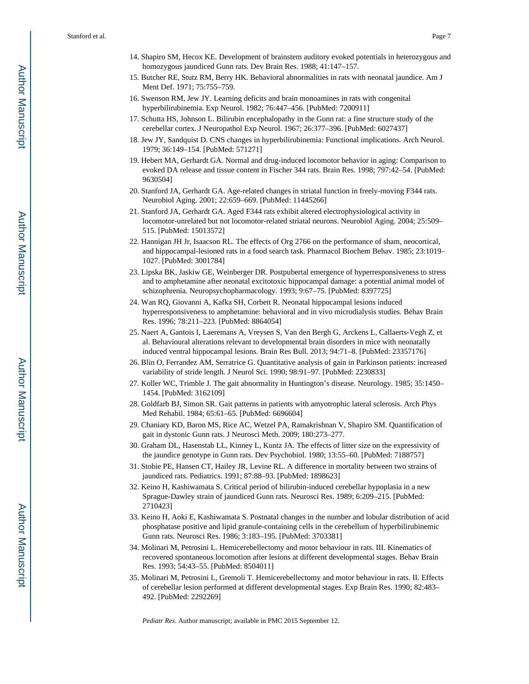- 14. Shapiro SM, Hecox KE. Development of brainstem auditory evoked potentials in heterozygous and homozygous jaundiced Gunn rats. Dev Brain Res. 1988; 41:147–157.
- 15. Butcher RE, Stutz RM, Berry HK. Behavioral abnormalities in rats with neonatal jaundice. Am J Ment Def. 1971; 75:755–759.
- 16. Swenson RM, Jew JY. Learning deficits and brain monoamines in rats with congenital hyperbilirubinemia. Exp Neurol. 1982; 76:447–456. [PubMed: 7200911]
- 17. Schutta HS, Johnson L. Bilirubin encephalopathy in the Gunn rat: a fine structure study of the cerebellar cortex. J Neuropathol Exp Neurol. 1967; 26:377–396. [PubMed: 6027437]
- 18. Jew JY, Sandquist D. CNS changes in hyperbilirubinemia: Functional implications. Arch Neurol. 1979; 36:149–154. [PubMed: 571271]
- 19. Hebert MA, Gerhardt GA. Normal and drug-induced locomotor behavior in aging: Comparison to evoked DA release and tissue content in Fischer 344 rats. Brain Res. 1998; 797:42–54. [PubMed: 9630504]
- 20. Stanford JA, Gerhardt GA. Age-related changes in striatal function in freely-moving F344 rats. Neurobiol Aging. 2001; 22:659–669. [PubMed: 11445266]
- 21. Stanford JA, Gerhardt GA. Aged F344 rats exhibit altered electrophysiological activity in locomotor-unrelated but not locomotor-related striatal neurons. Neurobiol Aging. 2004; 25:509– 515. [PubMed: 15013572]
- 22. Hannigan JH Jr, Isaacson RL. The effects of Org 2766 on the performance of sham, neocortical, and hippocampal-lesioned rats in a food search task. Pharmacol Biochem Behav. 1985; 23:1019– 1027. [PubMed: 3001784]
- 23. Lipska BK, Jaskiw GE, Weinberger DR. Postpubertal emergence of hyperresponsiveness to stress and to amphetamine after neonatal excitotoxic hippocampal damage: a potential animal model of schizophrenia. Neuropsychopharmacology. 1993; 9:67–75. [PubMed: 8397725]
- 24. Wan RQ, Giovanni A, Kafka SH, Corbett R. Neonatal hippocampal lesions induced hyperresponsiveness to amphetamine: behavioral and in vivo microdialysis studies. Behav Brain Res. 1996; 78:211–223. [PubMed: 8864054]
- 25. Naert A, Gantois I, Laeremans A, Vreysen S, Van den Bergh G, Arckens L, Callaerts-Vegh Z, et al. Behavioural alterations relevant to developmental brain disorders in mice with neonatally induced ventral hippocampal lesions. Brain Res Bull. 2013; 94:71–8. [PubMed: 23357176]
- 26. Blin O, Ferrandez AM, Serratrice G. Quantitative analysis of gain in Parkinson patients: increased variability of stride length. J Neurol Sci. 1990; 98:91–97. [PubMed: 2230833]
- 27. Koller WC, Trimble J. The gait abnormality in Huntington's disease. Neurology. 1985; 35:1450– 1454. [PubMed: 3162109]
- 28. Goldfarb BJ, Simon SR. Gait patterns in patients with amyotrophic lateral sclerosis. Arch Phys Med Rehabil. 1984; 65:61–65. [PubMed: 6696604]
- 29. Chaniary KD, Baron MS, Rice AC, Wetzel PA, Ramakrishnan V, Shapiro SM. Quantification of gait in dystonic Gunn rats. J Neurosci Meth. 2009; 180:273–277.
- 30. Graham DL, Hasenstab LL, Kinney L, Kuntz JA. The effects of litter size on the expressivity of the jaundice genotype in Gunn rats. Dev Psychobiol. 1980; 13:55–60. [PubMed: 7188757]
- 31. Stobie PE, Hansen CT, Hailey JR, Levine RL. A difference in mortality between two strains of jaundiced rats. Pediatrics. 1991; 87:88–93. [PubMed: 1898623]
- 32. Keino H, Kashiwamata S. Critical period of bilirubin-induced cerebellar hypoplasia in a new Sprague-Dawley strain of jaundiced Gunn rats. Neurosci Res. 1989; 6:209–215. [PubMed: 2710423]
- 33. Keino H, Aoki E, Kashiwamata S. Postnatal changes in the number and lobular distribution of acid phosphatase positive and lipid granule-containing cells in the cerebellum of hyperbilirubinemic Gunn rats. Neurosci Res. 1986; 3:183–195. [PubMed: 3703381]
- 34. Molinari M, Petrosini L. Hemicerebellectomy and motor behaviour in rats. III. Kinematics of recovered spontaneous locomotion after lesions at different developmental stages. Behav Brain Res. 1993; 54:43–55. [PubMed: 8504011]
- 35. Molinari M, Petrosini L, Gremoli T. Hemicerebellectomy and motor behaviour in rats. II. Effects of cerebellar lesion performed at different developmental stages. Exp Brain Res. 1990; 82:483– 492. [PubMed: 2292269]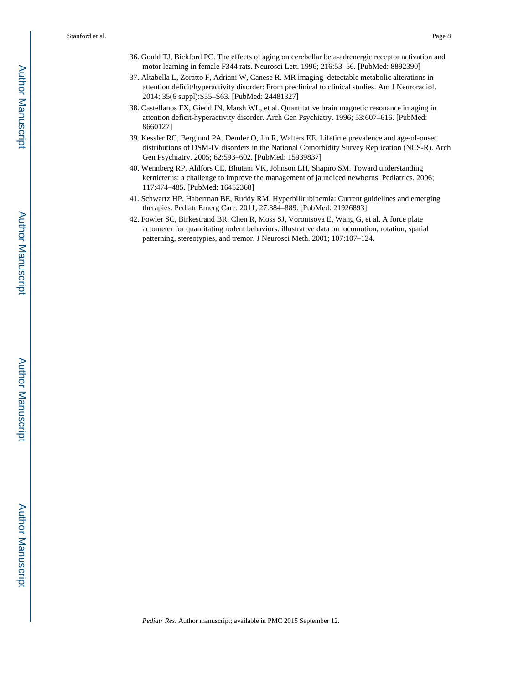- 36. Gould TJ, Bickford PC. The effects of aging on cerebellar beta-adrenergic receptor activation and motor learning in female F344 rats. Neurosci Lett. 1996; 216:53–56. [PubMed: 8892390]
- 37. Altabella L, Zoratto F, Adriani W, Canese R. MR imaging–detectable metabolic alterations in attention deficit/hyperactivity disorder: From preclinical to clinical studies. Am J Neuroradiol. 2014; 35(6 suppl):S55–S63. [PubMed: 24481327]
- 38. Castellanos FX, Giedd JN, Marsh WL, et al. Quantitative brain magnetic resonance imaging in attention deficit-hyperactivity disorder. Arch Gen Psychiatry. 1996; 53:607–616. [PubMed: 8660127]
- 39. Kessler RC, Berglund PA, Demler O, Jin R, Walters EE. Lifetime prevalence and age-of-onset distributions of DSM-IV disorders in the National Comorbidity Survey Replication (NCS-R). Arch Gen Psychiatry. 2005; 62:593–602. [PubMed: 15939837]
- 40. Wennberg RP, Ahlfors CE, Bhutani VK, Johnson LH, Shapiro SM. Toward understanding kernicterus: a challenge to improve the management of jaundiced newborns. Pediatrics. 2006; 117:474–485. [PubMed: 16452368]
- 41. Schwartz HP, Haberman BE, Ruddy RM. Hyperbilirubinemia: Current guidelines and emerging therapies. Pediatr Emerg Care. 2011; 27:884–889. [PubMed: 21926893]
- 42. Fowler SC, Birkestrand BR, Chen R, Moss SJ, Vorontsova E, Wang G, et al. A force plate actometer for quantitating rodent behaviors: illustrative data on locomotion, rotation, spatial patterning, stereotypies, and tremor. J Neurosci Meth. 2001; 107:107–124.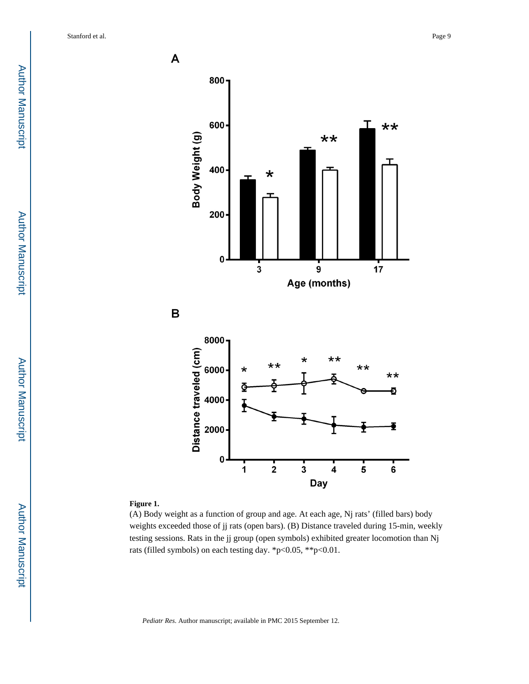

#### **Figure 1.**

(A) Body weight as a function of group and age. At each age, Nj rats' (filled bars) body weights exceeded those of jj rats (open bars). (B) Distance traveled during 15-min, weekly testing sessions. Rats in the jj group (open symbols) exhibited greater locomotion than Nj rats (filled symbols) on each testing day. \*p<0.05, \*\*p<0.01.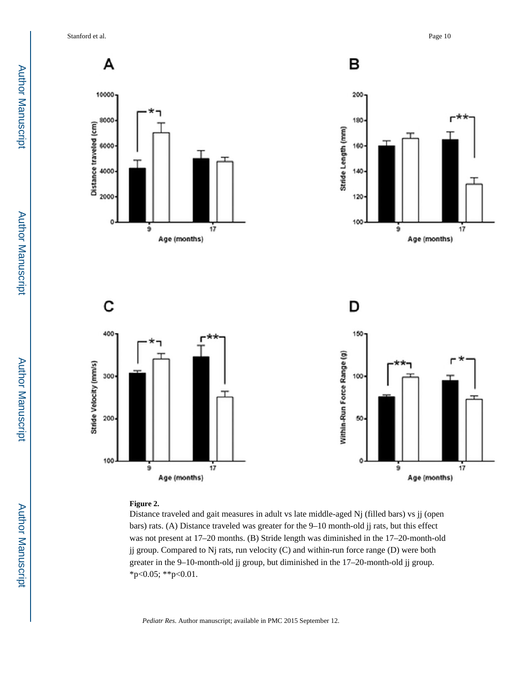Stanford et al. Page 10



#### **Figure 2.**

Distance traveled and gait measures in adult vs late middle-aged Nj (filled bars) vs jj (open bars) rats. (A) Distance traveled was greater for the 9–10 month-old jj rats, but this effect was not present at 17–20 months. (B) Stride length was diminished in the 17–20-month-old jj group. Compared to Nj rats, run velocity (C) and within-run force range (D) were both greater in the 9–10-month-old jj group, but diminished in the 17–20-month-old jj group. \*p<0.05; \*\*p<0.01.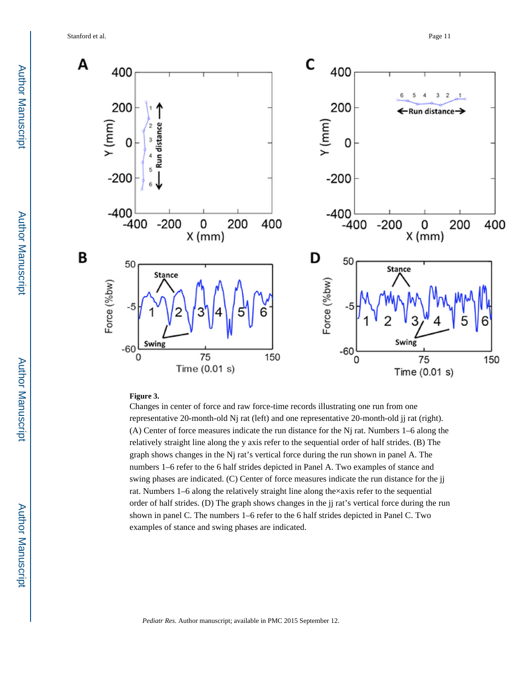Stanford et al. Page 11



#### **Figure 3.**

Changes in center of force and raw force-time records illustrating one run from one representative 20-month-old Nj rat (left) and one representative 20-month-old jj rat (right). (A) Center of force measures indicate the run distance for the Nj rat. Numbers 1–6 along the relatively straight line along the y axis refer to the sequential order of half strides. (B) The graph shows changes in the Nj rat's vertical force during the run shown in panel A. The numbers 1–6 refer to the 6 half strides depicted in Panel A. Two examples of stance and swing phases are indicated. (C) Center of force measures indicate the run distance for the jj rat. Numbers 1–6 along the relatively straight line along the×axis refer to the sequential order of half strides. (D) The graph shows changes in the jj rat's vertical force during the run shown in panel C. The numbers 1–6 refer to the 6 half strides depicted in Panel C. Two examples of stance and swing phases are indicated.